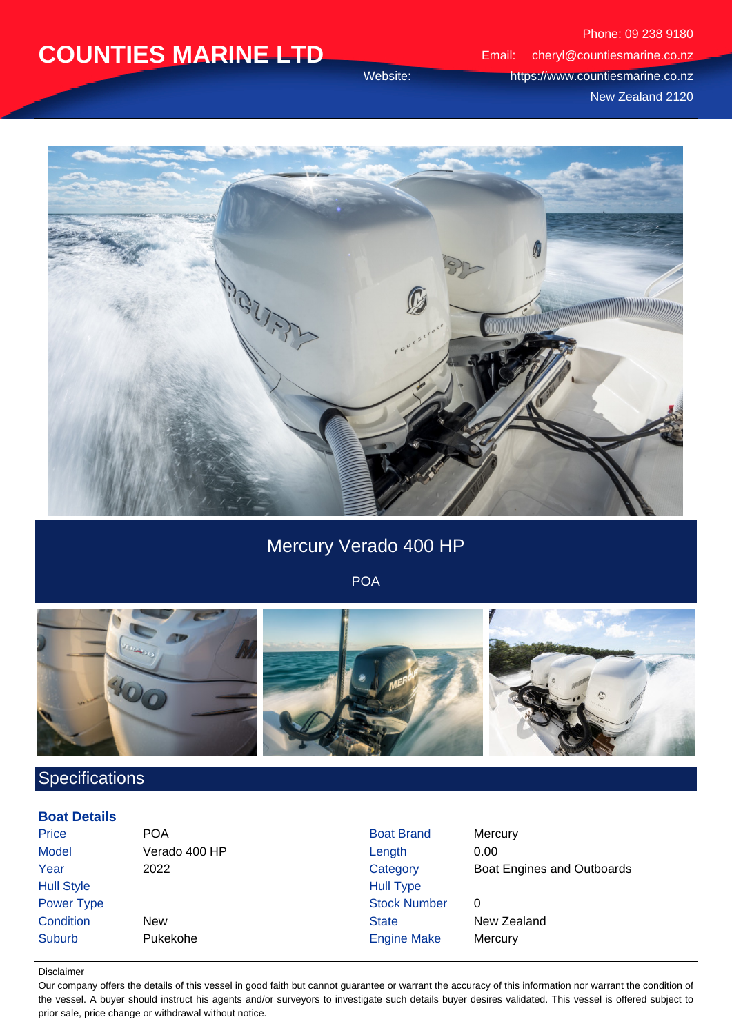Phone: 09 238 9180 Email: cheryl@countiesmarine.co.nz Website: https://www.countiesmarine.co.nz New Zealand 2120



### Mercury Verado 400 HP

POA



### **Specifications**

#### **Boat Details**

| Price             | <b>POA</b>    | <b>Boat Brand</b>   | Mercury                    |
|-------------------|---------------|---------------------|----------------------------|
| <b>Model</b>      | Verado 400 HP | Length              | 0.00                       |
| Year              | 2022          | Category            | Boat Engines and Outboards |
| <b>Hull Style</b> |               | <b>Hull Type</b>    |                            |
| Power Type        |               | <b>Stock Number</b> | 0                          |
| Condition         | <b>New</b>    | <b>State</b>        | New Zealand                |
| Suburb            | Pukekohe      | <b>Engine Make</b>  | Mercury                    |

#### Disclaimer

Our company offers the details of this vessel in good faith but cannot guarantee or warrant the accuracy of this information nor warrant the condition of the vessel. A buyer should instruct his agents and/or surveyors to investigate such details buyer desires validated. This vessel is offered subject to prior sale, price change or withdrawal without notice.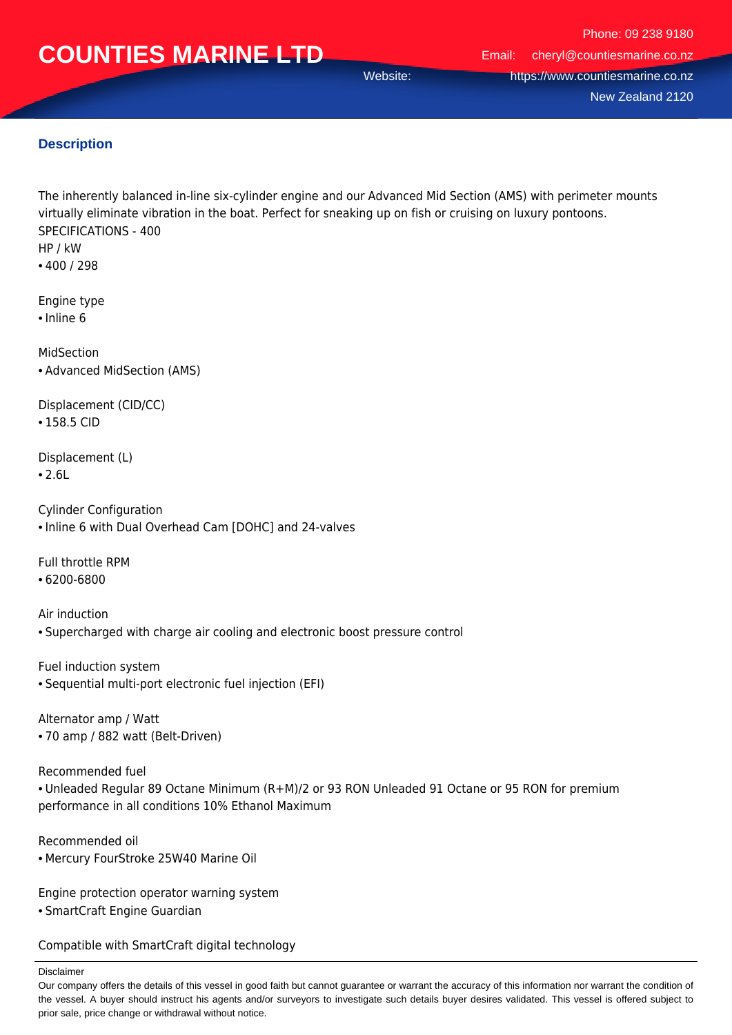Phone: 09 238 9180 Email: cheryl@countiesmarine.co.nz Website: https://www.countiesmarine.co.nz New Zealand 2120

### **Description**

The inherently balanced in-line six-cylinder engine and our Advanced Mid Section (AMS) with perimeter mounts virtually eliminate vibration in the boat. Perfect for sneaking up on fish or cruising on luxury pontoons. SPECIFICATIONS - 400 HP / kW

• 400 / 298

Engine type

• Inline 6

MidSection • Advanced MidSection (AMS)

Displacement (CID/CC) • 158.5 CID

Displacement (L)

• 2.6L

Cylinder Configuration • Inline 6 with Dual Overhead Cam [DOHC] and 24-valves

Full throttle RPM

• 6200-6800

Air induction • Supercharged with charge air cooling and electronic boost pressure control

Fuel induction system • Sequential multi-port electronic fuel injection (EFI)

Alternator amp / Watt • 70 amp / 882 watt (Belt-Driven)

Recommended fuel

• Unleaded Regular 89 Octane Minimum (R+M)/2 or 93 RON Unleaded 91 Octane or 95 RON for premium performance in all conditions 10% Ethanol Maximum

Recommended oil • Mercury FourStroke 25W40 Marine Oil

Engine protection operator warning system

• SmartCraft Engine Guardian

Compatible with SmartCraft digital technology

Disclaimer

Our company offers the details of this vessel in good faith but cannot guarantee or warrant the accuracy of this information nor warrant the condition of the vessel. A buyer should instruct his agents and/or surveyors to investigate such details buyer desires validated. This vessel is offered subject to prior sale, price change or withdrawal without notice.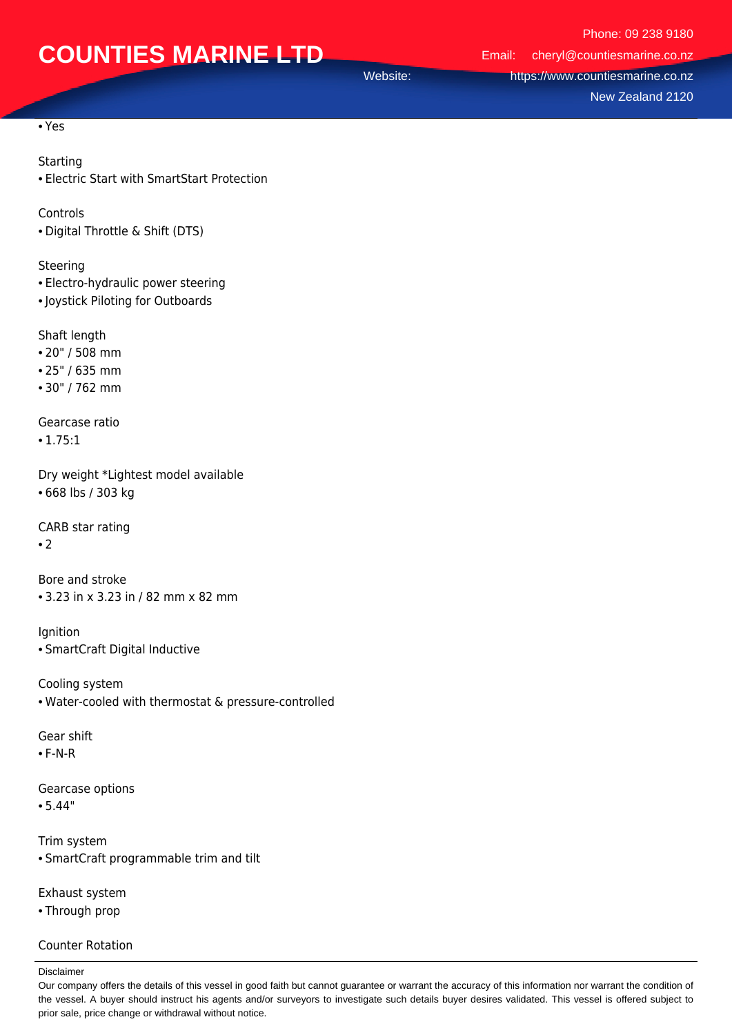Phone: 09 238 9180 Email: cheryl@countiesmarine.co.nz Website: https://www.countiesmarine.co.nz New Zealand 2120

• Yes

#### Starting

• Electric Start with SmartStart Protection

Controls

• Digital Throttle & Shift (DTS)

Steering

- Electro-hydraulic power steering
- Joystick Piloting for Outboards

Shaft length

- 20" / 508 mm
- 25" / 635 mm
- 30" / 762 mm

Gearcase ratio

• 1.75:1

Dry weight \*Lightest model available • 668 lbs / 303 kg

CARB star rating

• 2

Bore and stroke • 3.23 in x 3.23 in / 82 mm x 82 mm

**Ignition** • SmartCraft Digital Inductive

Cooling system • Water-cooled with thermostat & pressure-controlled

Gear shift

• F-N-R

Gearcase options

- 5.44"
- Trim system • SmartCraft programmable trim and tilt

Exhaust system • Through prop

#### Counter Rotation

Disclaimer

Our company offers the details of this vessel in good faith but cannot guarantee or warrant the accuracy of this information nor warrant the condition of the vessel. A buyer should instruct his agents and/or surveyors to investigate such details buyer desires validated. This vessel is offered subject to prior sale, price change or withdrawal without notice.